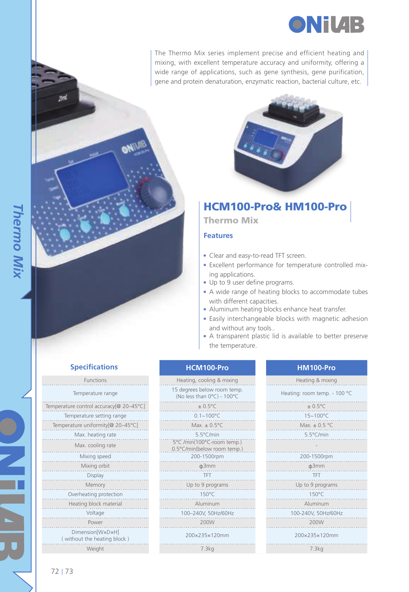

The Thermo Mix series implement precise and efficient heating and mixing, with excellent temperature accuracy and uniformity, offering a wide range of applications, such as gene synthesis, gene purification, gene and protein denaturation, enzymatic reaction, bacterial culture, etc.



# HCM100-Pro& HM100-Pro

Thermo Mix

### **Features**

- Clear and easy-to-read TFT screen.
- Excellent performance for temperature controlled mixing applications.
- Up to 9 user define programs.
- A wide range of heating blocks to accommodate tubes with different capacities.
- Aluminum heating blocks enhance heat transfer.
- Easily interchangeable blocks with magnetic adhesion and without any tools..
- A transparent plastic lid is available to better preserve the temperature.

| <b>Specifications</b>                           | HCM100-Pro                                                | HM100-Pro                    |
|-------------------------------------------------|-----------------------------------------------------------|------------------------------|
| <b>Functions</b>                                | Heating, cooling & mixing                                 | Heating & mixing             |
| Temperature range                               | 15 degrees below room temp.<br>(No less than 0°C) - 100°C | Heating: room temp. - 100 °C |
| Temperature control accuracy[@ 20-45°C]         | $\pm$ 0.5°C                                               | $\pm$ 0.5°C                  |
| Temperature setting range                       | $0.1 - 100^{\circ}$ C                                     | $15 - 100^{\circ}$ C         |
| Temperature uniformity[@ 20-45°C]               | Max. $\pm$ 0.5°C                                          | Max. $\pm$ 0.5 °C            |
| Max. heating rate                               | $5.5^{\circ}$ C/min                                       | $5.5^{\circ}$ C/min          |
| Max. cooling rate                               | 5°C /min(100°C-room temp.)<br>0.5°C/min(below room temp.) |                              |
| Mixing speed                                    | 200-1500rpm                                               | 200-1500rpm                  |
| Mixing orbit                                    | $\Phi$ 3mm                                                | $\Phi$ 3mm                   |
| Display                                         | <b>TFT</b>                                                | TFT                          |
| Memory                                          | Up to 9 programs                                          | Up to 9 programs             |
| Overheating protection                          | $150^{\circ}$ C                                           | $150^{\circ}$ C              |
| Heating block material                          | Aluminum                                                  | Aluminum                     |
| Voltage                                         | 100-240V, 50Hz/60Hz                                       | 100-240V, 50Hz/60Hz          |
| Power                                           | 200W                                                      | 200W                         |
| Dimension[WxDxH]<br>(without the heating block) | 200x235x120mm                                             | 200x235x120mm                |
| Weight                                          | 7.3ka                                                     | 7.3ka                        |

| ٠ | I<br>$\sim$ |
|---|-------------|
|   |             |

. . . . . . . .

. . . . . . . .

. . . . . . . .

. . . . . . . . .